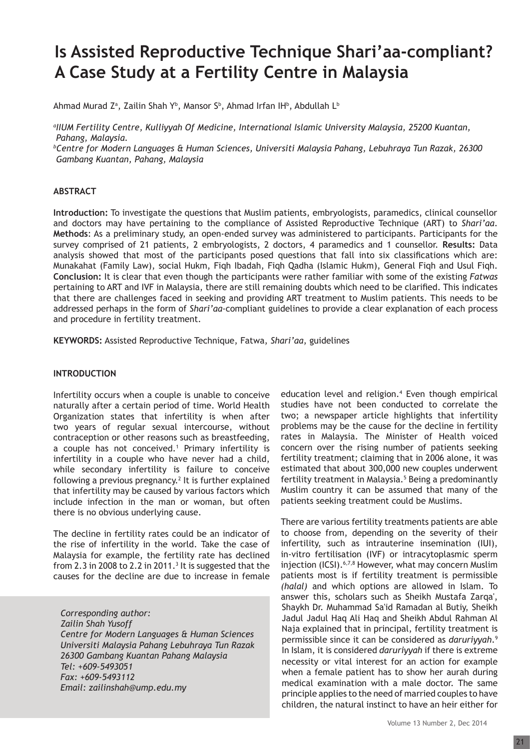# **Is Assisted Reproductive Technique Shari'aa-compliant? A Case Study at a Fertility Centre in Malaysia**

Ahmad Murad Z<sup>a</sup>, Zailin Shah Y<sup>b</sup>, Mansor S<sup>b</sup>, Ahmad Irfan IH<sup>b</sup>, Abdullah L<sup>b</sup>

*a IIUM Fertility Centre, Kulliyyah Of Medicine, International Islamic University Malaysia, 25200 Kuantan, Pahang, Malaysia.* 

*b Centre for Modern Languages & Human Sciences, Universiti Malaysia Pahang, Lebuhraya Tun Razak, 26300 Gambang Kuantan, Pahang, Malaysia*

# **ABSTRACT**

**Introduction:** To investigate the questions that Muslim patients, embryologists, paramedics, clinical counsellor and doctors may have pertaining to the compliance of Assisted Reproductive Technique (ART) to *Shari'aa*. **Methods**: As a preliminary study, an open-ended survey was administered to participants. Participants for the survey comprised of 21 patients, 2 embryologists, 2 doctors, 4 paramedics and 1 counsellor. **Results:** Data analysis showed that most of the participants posed questions that fall into six classifications which are: Munakahat (Family Law), social Hukm, Fiqh Ibadah, Fiqh Qadha (Islamic Hukm), General Fiqh and Usul Fiqh. **Conclusion:** It is clear that even though the participants were rather familiar with some of the existing *Fatwas*  pertaining to ART and IVF in Malaysia, there are still remaining doubts which need to be clarified. This indicates that there are challenges faced in seeking and providing ART treatment to Muslim patients. This needs to be addressed perhaps in the form of *Shari'aa-*compliant guidelines to provide a clear explanation of each process and procedure in fertility treatment.

**KEYWORDS:** Assisted Reproductive Technique, Fatwa, *Shari'aa*, guidelines

# **INTRODUCTION**

Infertility occurs when a couple is unable to conceive naturally after a certain period of time. World Health Organization states that infertility is when after two years of regular sexual intercourse, without contraception or other reasons such as breastfeeding, a couple has not conceived.<sup>1</sup> Primary infertility is infertility in a couple who have never had a child, while secondary infertility is failure to conceive following a previous pregnancy.<sup>2</sup> It is further explained that infertility may be caused by various factors which include infection in the man or woman, but often there is no obvious underlying cause.

The decline in fertility rates could be an indicator of the rise of infertility in the world. Take the case of Malaysia for example, the fertility rate has declined from 2.3 in 2008 to 2.2 in 2011.<sup>3</sup> It is suggested that the causes for the decline are due to increase in female

*Corresponding author: Zailin Shah Yusoff Centre for Modern Languages & Human Sciences Universiti Malaysia Pahang Lebuhraya Tun Razak 26300 Gambang Kuantan Pahang Malaysia Tel: +609-5493051 Fax: +609-5493112 Email: zailinshah@ump.edu.my*

education level and religion.<sup>4</sup> Even though empirical studies have not been conducted to correlate the two; a newspaper article highlights that infertility problems may be the cause for the decline in fertility rates in Malaysia. The Minister of Health voiced concern over the rising number of patients seeking fertility treatment; claiming that in 2006 alone, it was estimated that about 300,000 new couples underwent fertility treatment in Malaysia.<sup>5</sup> Being a predominantly Muslim country it can be assumed that many of the patients seeking treatment could be Muslims.

There are various fertility treatments patients are able to choose from, depending on the severity of their infertility, such as intrauterine insemination (IUI), in-vitro fertilisation (IVF) or intracytoplasmic sperm injection (ICSI).<sup>6,7,8</sup> However, what may concern Muslim patients most is if fertility treatment is permissible *(halal)* and which options are allowed in Islam. To answer this, scholars such as Sheikh Mustafa Zarqa', Shaykh Dr. Muhammad Sa'id Ramadan al Butiy, Sheikh Jadul Jadul Haq Ali Haq and Sheikh Abdul Rahman Al Naja explained that in principal, fertility treatment is permissible since it can be considered as *daruriyyah*.<sup>9</sup> In Islam, it is considered *daruriyyah* if there is extreme necessity or vital interest for an action for example when a female patient has to show her aurah during medical examination with a male doctor. The same principle applies to the need of married couples to have children, the natural instinct to have an heir either for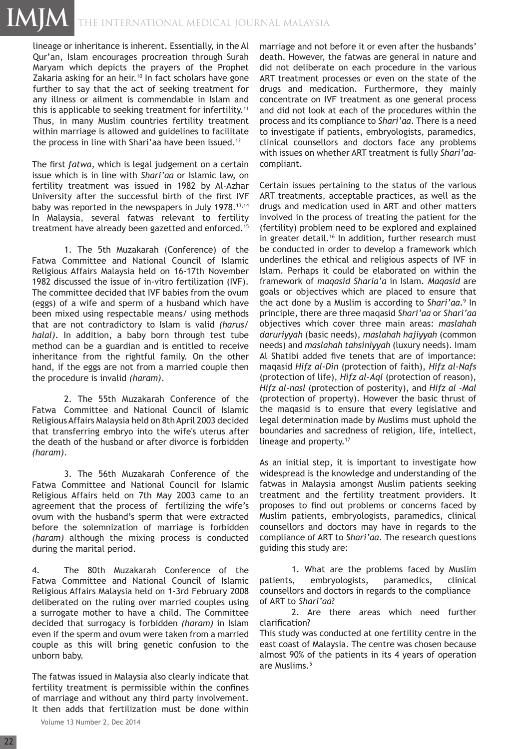# THE INTERNATIONAL MEDICAL JOURNAL Malaysia **IMJM**

lineage or inheritance is inherent. Essentially, in the Al Qur'an, Islam encourages procreation through Surah Maryam which depicts the prayers of the Prophet Zakaria asking for an heir.<sup>10</sup> In fact scholars have gone further to say that the act of seeking treatment for any illness or ailment is commendable in Islam and this is applicable to seeking treatment for infertility.<sup>11</sup> Thus, in many Muslim countries fertility treatment within marriage is allowed and guidelines to facilitate the process in line with Shari'aa have been issued.<sup>12</sup>

The first *fatwa*, which is legal judgement on a certain issue which is in line with *Shari'aa* or Islamic law, on fertility treatment was issued in 1982 by Al-Azhar University after the successful birth of the first IVF baby was reported in the newspapers in July 1978.<sup>13,14</sup> In Malaysia, several fatwas relevant to fertility treatment have already been gazetted and enforced.<sup>15</sup>

1. The 5th Muzakarah (Conference) of the Fatwa Committee and National Council of Islamic Religious Affairs Malaysia held on 16-17th November 1982 discussed the issue of in-vitro fertilization (IVF). The committee decided that IVF babies from the ovum (eggs) of a wife and sperm of a husband which have been mixed using respectable means/ using methods that are not contradictory to Islam is valid *(harus/ halal)*. In addition, a baby born through test tube method can be a guardian and is entitled to receive inheritance from the rightful family. On the other hand, if the eggs are not from a married couple then the procedure is invalid *(haram)*.

2. The 55th Muzakarah Conference of the Fatwa Committee and National Council of Islamic Religious Affairs Malaysia held on 8th April 2003 decided that transferring embryo into the wife's uterus after the death of the husband or after divorce is forbidden *(haram)*.

3. The 56th Muzakarah Conference of the Fatwa Committee and National Council for Islamic Religious Affairs held on 7th May 2003 came to an agreement that the process of fertilizing the wife's ovum with the husband's sperm that were extracted before the solemnization of marriage is forbidden *(haram)* although the mixing process is conducted during the marital period.

4. The 80th Muzakarah Conference of the Fatwa Committee and National Council of Islamic Religious Affairs Malaysia held on 1-3rd February 2008 deliberated on the ruling over married couples using a surrogate mother to have a child. The Committee decided that surrogacy is forbidden *(haram)* in Islam even if the sperm and ovum were taken from a married couple as this will bring genetic confusion to the unborn baby.

The fatwas issued in Malaysia also clearly indicate that fertility treatment is permissible within the confines of marriage and without any third party involvement. It then adds that fertilization must be done within

marriage and not before it or even after the husbands' death. However, the fatwas are general in nature and did not deliberate on each procedure in the various ART treatment processes or even on the state of the drugs and medication. Furthermore, they mainly concentrate on IVF treatment as one general process and did not look at each of the procedures within the process and its compliance to *Shari'aa*. There is a need to investigate if patients, embryologists, paramedics, clinical counsellors and doctors face any problems with issues on whether ART treatment is fully *Shari'aa*compliant.

Certain issues pertaining to the status of the various ART treatments, acceptable practices, as well as the drugs and medication used in ART and other matters involved in the process of treating the patient for the (fertility) problem need to be explored and explained in greater detail.<sup>16</sup> In addition, further research must be conducted in order to develop a framework which underlines the ethical and religious aspects of IVF in Islam. Perhaps it could be elaborated on within the framework of *maqasid Sharia'a* in Islam. *Maqasid* are goals or objectives which are placed to ensure that the act done by a Muslim is according to *Shari'aa.*<sup>9</sup> In principle, there are three maqasid *Shari'aa* or *Shari'aa*  objectives which cover three main areas: *maslahah daruriyyah* (basic needs), *maslahah hajiyyah* (common needs) and *maslahah tahsiniyyah* (luxury needs). Imam Al Shatibi added five tenets that are of importance: maqasid *Hifz al-Din* (protection of faith), *Hifz al-Nafs* (protection of life), *Hifz al-Aql* (protection of reason), *Hifz al-nasl* (protection of posterity), and *Hifz al -Mal*  (protection of property). However the basic thrust of the maqasid is to ensure that every legislative and legal determination made by Muslims must uphold the boundaries and sacredness of religion, life, intellect, lineage and property.<sup>17</sup>

As an initial step, it is important to investigate how widespread is the knowledge and understanding of the fatwas in Malaysia amongst Muslim patients seeking treatment and the fertility treatment providers. It proposes to find out problems or concerns faced by Muslim patients, embryologists, paramedics, clinical counsellors and doctors may have in regards to the compliance of ART to *Shari'aa*. The research questions guiding this study are:

1. What are the problems faced by Muslim patients, embryologists, paramedics, clinical counsellors and doctors in regards to the compliance of ART to *Shari'aa*?

2. Are there areas which need further clarification?

This study was conducted at one fertility centre in the east coast of Malaysia. The centre was chosen because almost 90% of the patients in its 4 years of operation are Muslims.<sup>5</sup>

Volume 13 Number 2, Dec 2014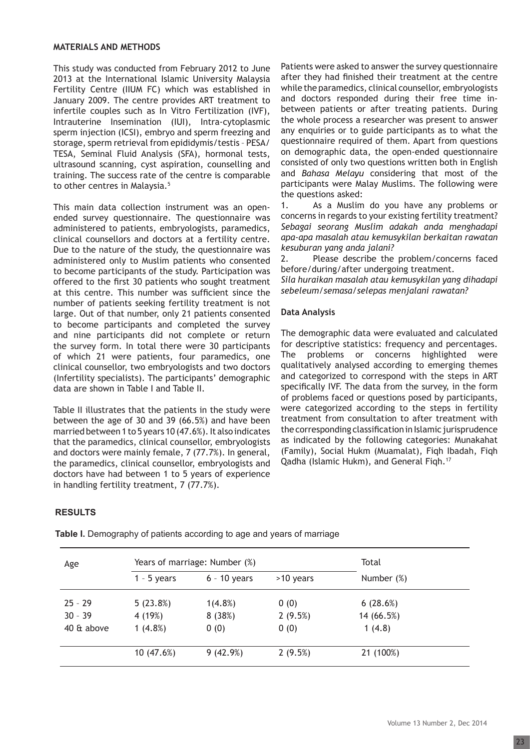#### **MATERIALS AND METHODS**

This study was conducted from February 2012 to June 2013 at the International Islamic University Malaysia Fertility Centre (IIUM FC) which was established in January 2009. The centre provides ART treatment to infertile couples such as In Vitro Fertilization (IVF), Intrauterine Insemination (IUI), Intra-cytoplasmic sperm injection (ICSI), embryo and sperm freezing and storage, sperm retrieval from epididymis/testis – PESA/ TESA, Seminal Fluid Analysis (SFA), hormonal tests, ultrasound scanning, cyst aspiration, counselling and training. The success rate of the centre is comparable to other centres in Malaysia.<sup>5</sup>

This main data collection instrument was an openended survey questionnaire. The questionnaire was administered to patients, embryologists, paramedics, clinical counsellors and doctors at a fertility centre. Due to the nature of the study, the questionnaire was administered only to Muslim patients who consented to become participants of the study. Participation was offered to the first 30 patients who sought treatment at this centre. This number was sufficient since the number of patients seeking fertility treatment is not large. Out of that number, only 21 patients consented to become participants and completed the survey and nine participants did not complete or return the survey form. In total there were 30 participants of which 21 were patients, four paramedics, one clinical counsellor, two embryologists and two doctors (Infertility specialists). The participants' demographic data are shown in Table I and Table II.

Table II illustrates that the patients in the study were between the age of 30 and 39 (66.5%) and have been married between 1 to 5 years 10 (47.6%). It also indicates that the paramedics, clinical counsellor, embryologists and doctors were mainly female, 7 (77.7%). In general, the paramedics, clinical counsellor, embryologists and doctors have had between 1 to 5 years of experience in handling fertility treatment, 7 (77.7%).

Patients were asked to answer the survey questionnaire after they had finished their treatment at the centre while the paramedics, clinical counsellor, embryologists and doctors responded during their free time inbetween patients or after treating patients. During the whole process a researcher was present to answer any enquiries or to guide participants as to what the questionnaire required of them. Apart from questions on demographic data, the open-ended questionnaire consisted of only two questions written both in English and *Bahasa Melayu* considering that most of the participants were Malay Muslims. The following were the questions asked:

1. As a Muslim do you have any problems or concerns in regards to your existing fertility treatment? *Sebagai seorang Muslim adakah anda menghadapi apa-apa masalah atau kemusykilan berkaitan rawatan kesuburan yang anda jalani?*

2. Please describe the problem/concerns faced before/during/after undergoing treatment.

*Sila huraikan masalah atau kemusykilan yang dihadapi sebeleum/semasa/selepas menjalani rawatan?* 

# **Data Analysis**

The demographic data were evaluated and calculated for descriptive statistics: frequency and percentages. The problems or concerns highlighted were qualitatively analysed according to emerging themes and categorized to correspond with the steps in ART specifically IVF. The data from the survey, in the form of problems faced or questions posed by participants, were categorized according to the steps in fertility treatment from consultation to after treatment with the corresponding classification in Islamic jurisprudence as indicated by the following categories: Munakahat (Family), Social Hukm (Muamalat), Fiqh Ibadah, Fiqh Qadha (Islamic Hukm), and General Fiqh.17

# **RESULTS**

| Age        | Years of marriage: Number (%) |                |             | Total      |  |
|------------|-------------------------------|----------------|-------------|------------|--|
|            | $1 - 5$ years                 | $6 - 10$ years | $>10$ years | Number (%) |  |
| $25 - 29$  | 5(23.8%)                      | $1(4.8\%)$     | 0(0)        | 6(28.6%)   |  |
| $30 - 39$  | 4 (19%)                       | 8(38%)         | 2(9.5%)     | 14 (66.5%) |  |
| 40 & above | $1(4.8\%)$                    | 0(0)           | 0(0)        | 1(4.8)     |  |
|            | 10(47.6%)                     | 9(42.9%)       | 2(9.5%)     | 21 (100%)  |  |

**Table I.** Demography of patients according to age and years of marriage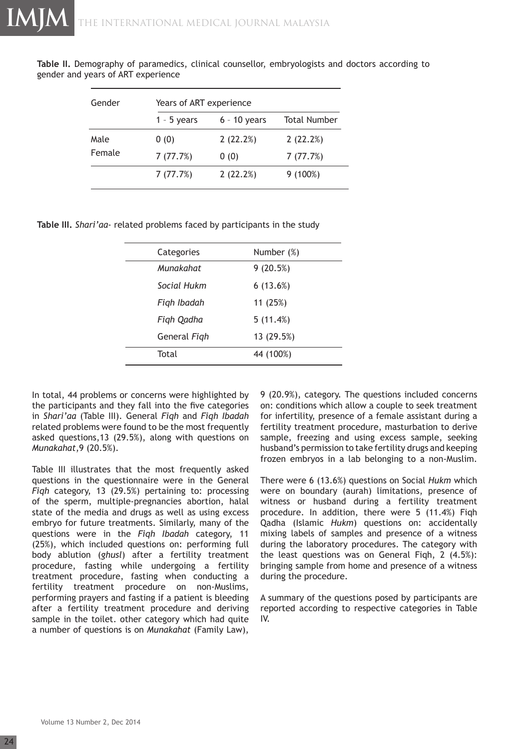**Table II.** Demography of paramedics, clinical counsellor, embryologists and doctors according to gender and years of ART experience

| Gender | Years of ART experience |                |                     |  |
|--------|-------------------------|----------------|---------------------|--|
|        | $1 - 5$ years           | $6 - 10$ years | <b>Total Number</b> |  |
| Male   | 0(0)                    | 2(22.2%)       | 2(22.2%)            |  |
| Female | 7(77.7%)                | 0(0)           | 7(77.7%)            |  |
|        | 7(77.7%)                | 2(22.2%)       | $9(100\%)$          |  |

**Table III.** *Shari'aa*- related problems faced by participants in the study

| Categories   | Number (%) |
|--------------|------------|
| Munakahat    | 9(20.5%)   |
| Social Hukm  | 6(13.6%)   |
| Figh Ibadah  | 11 (25%)   |
| Figh Qadha   | 5(11.4%)   |
| General Figh | 13 (29.5%) |
| Total        | 44 (100%)  |
|              |            |

In total, 44 problems or concerns were highlighted by the participants and they fall into the five categories in *Shari'aa* (Table III). General *Fiqh* and *Fiqh Ibadah* related problems were found to be the most frequently asked questions,13 (29.5%), along with questions on *Munakahat*,9 (20.5%).

Table III illustrates that the most frequently asked questions in the questionnaire were in the General *Fiqh* category, 13 (29.5%) pertaining to: processing of the sperm, multiple-pregnancies abortion, halal state of the media and drugs as well as using excess embryo for future treatments. Similarly, many of the questions were in the *Fiqh Ibadah* category, 11 (25%), which included questions on: performing full body ablution (*ghusl*) after a fertility treatment procedure, fasting while undergoing a fertility treatment procedure, fasting when conducting a fertility treatment procedure on non-Muslims, performing prayers and fasting if a patient is bleeding after a fertility treatment procedure and deriving sample in the toilet. other category which had quite a number of questions is on *Munakahat* (Family Law),

9 (20.9%), category. The questions included concerns on: conditions which allow a couple to seek treatment for infertility, presence of a female assistant during a fertility treatment procedure, masturbation to derive sample, freezing and using excess sample, seeking husband's permission to take fertility drugs and keeping frozen embryos in a lab belonging to a non-Muslim.

There were 6 (13.6%) questions on Social *Hukm* which were on boundary (aurah) limitations, presence of witness or husband during a fertility treatment procedure. In addition, there were 5 (11.4%) Fiqh Qadha (Islamic *Hukm*) questions on: accidentally mixing labels of samples and presence of a witness during the laboratory procedures. The category with the least questions was on General Fiqh, 2 (4.5%): bringing sample from home and presence of a witness during the procedure.

A summary of the questions posed by participants are reported according to respective categories in Table IV.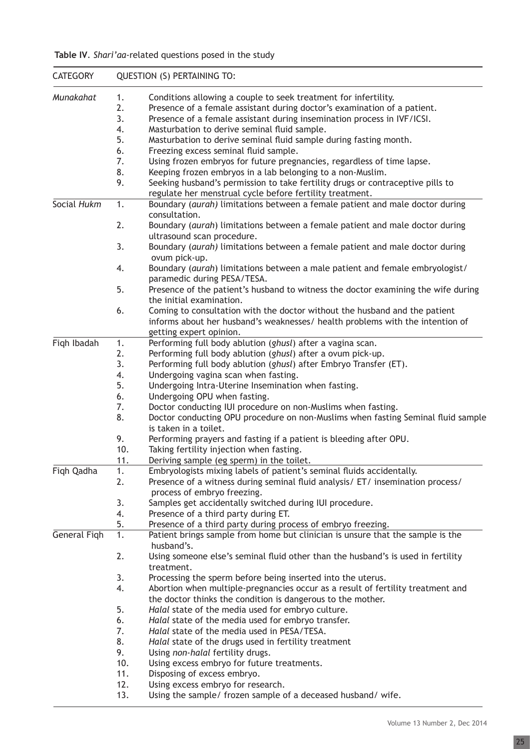|  | Table IV. Shari'aa-related questions posed in the study |  |  |  |
|--|---------------------------------------------------------|--|--|--|
|--|---------------------------------------------------------|--|--|--|

| <b>CATEGORY</b> |          | <b>QUESTION (S) PERTAINING TO:</b>                                                                   |
|-----------------|----------|------------------------------------------------------------------------------------------------------|
| Munakahat       | 1.       | Conditions allowing a couple to seek treatment for infertility.                                      |
|                 | 2.       | Presence of a female assistant during doctor's examination of a patient.                             |
|                 | 3.       | Presence of a female assistant during insemination process in IVF/ICSI.                              |
|                 | 4.       | Masturbation to derive seminal fluid sample.                                                         |
|                 | 5.       | Masturbation to derive seminal fluid sample during fasting month.                                    |
|                 | 6.       | Freezing excess seminal fluid sample.                                                                |
|                 | 7.       | Using frozen embryos for future pregnancies, regardless of time lapse.                               |
|                 | 8.       | Keeping frozen embryos in a lab belonging to a non-Muslim.                                           |
|                 | 9.       | Seeking husband's permission to take fertility drugs or contraceptive pills to                       |
|                 |          | regulate her menstrual cycle before fertility treatment.                                             |
| Social Hukm     | 1.       | Boundary (aurah) limitations between a female patient and male doctor during                         |
|                 |          | consultation.                                                                                        |
|                 | 2.       | Boundary (aurah) limitations between a female patient and male doctor during                         |
|                 |          | ultrasound scan procedure.                                                                           |
|                 | 3.       | Boundary (aurah) limitations between a female patient and male doctor during                         |
|                 |          | ovum pick-up.                                                                                        |
|                 | 4.       | Boundary (aurah) limitations between a male patient and female embryologist/                         |
|                 |          | paramedic during PESA/TESA.                                                                          |
|                 | 5.       | Presence of the patient's husband to witness the doctor examining the wife during                    |
|                 |          | the initial examination.                                                                             |
|                 | 6.       | Coming to consultation with the doctor without the husband and the patient                           |
|                 |          | informs about her husband's weaknesses/ health problems with the intention of                        |
|                 |          | getting expert opinion.                                                                              |
| Figh Ibadah     | 1.       | Performing full body ablution (ghusl) after a vagina scan.                                           |
|                 | 2.       | Performing full body ablution (ghusl) after a ovum pick-up.                                          |
|                 | 3.       | Performing full body ablution (ghusl) after Embryo Transfer (ET).                                    |
|                 | 4.       | Undergoing vagina scan when fasting.                                                                 |
|                 | 5.       | Undergoing Intra-Uterine Insemination when fasting.                                                  |
|                 | 6.       | Undergoing OPU when fasting.                                                                         |
|                 | 7.       | Doctor conducting IUI procedure on non-Muslims when fasting.                                         |
|                 | 8.       | Doctor conducting OPU procedure on non-Muslims when fasting Seminal fluid sample                     |
|                 |          | is taken in a toilet.                                                                                |
|                 | 9.       | Performing prayers and fasting if a patient is bleeding after OPU.                                   |
|                 | 10.      | Taking fertility injection when fasting.                                                             |
|                 | 11.      | Deriving sample (eg sperm) in the toilet.                                                            |
| Fiqh Qadha      | 1.       | Embryologists mixing labels of patient's seminal fluids accidentally.                                |
|                 | 2.       | Presence of a witness during seminal fluid analysis/ ET/ insemination process/                       |
|                 |          | process of embryo freezing.                                                                          |
|                 | 3.<br>4. | Samples get accidentally switched during IUI procedure.                                              |
|                 | 5.       | Presence of a third party during ET.<br>Presence of a third party during process of embryo freezing. |
| General Figh    | 1.       | Patient brings sample from home but clinician is unsure that the sample is the                       |
|                 |          | husband's.                                                                                           |
|                 | 2.       | Using someone else's seminal fluid other than the husband's is used in fertility                     |
|                 |          | treatment.                                                                                           |
|                 | 3.       | Processing the sperm before being inserted into the uterus.                                          |
|                 | 4.       | Abortion when multiple-pregnancies occur as a result of fertility treatment and                      |
|                 |          | the doctor thinks the condition is dangerous to the mother.                                          |
|                 | 5.       | Halal state of the media used for embryo culture.                                                    |
|                 | 6.       | Halal state of the media used for embryo transfer.                                                   |
|                 | 7.       | Halal state of the media used in PESA/TESA.                                                          |
|                 | 8.       | Halal state of the drugs used in fertility treatment                                                 |
|                 | 9.       | Using non-halal fertility drugs.                                                                     |
|                 | 10.      | Using excess embryo for future treatments.                                                           |
|                 | 11.      | Disposing of excess embryo.                                                                          |
|                 | 12.      | Using excess embryo for research.                                                                    |
|                 | 13.      | Using the sample/ frozen sample of a deceased husband/ wife.                                         |
|                 |          |                                                                                                      |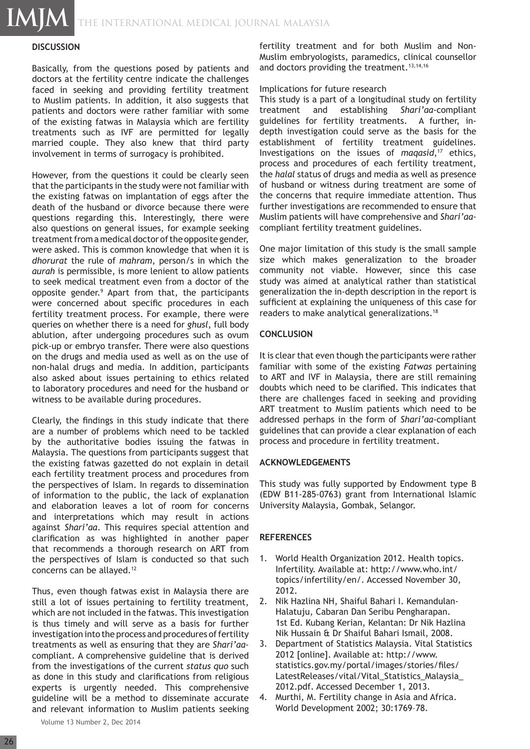THE INTERNATIONAL MEDICAL JOURNAL Malaysia

# **DISCUSSION**

**IMJM**

Basically, from the questions posed by patients and doctors at the fertility centre indicate the challenges faced in seeking and providing fertility treatment to Muslim patients. In addition, it also suggests that patients and doctors were rather familiar with some of the existing fatwas in Malaysia which are fertility treatments such as IVF are permitted for legally married couple. They also knew that third party involvement in terms of surrogacy is prohibited.

However, from the questions it could be clearly seen that the participants in the study were not familiar with the existing fatwas on implantation of eggs after the death of the husband or divorce because there were questions regarding this. Interestingly, there were also questions on general issues, for example seeking treatment from a medical doctor of the opposite gender, were asked. This is common knowledge that when it is *dhorurat* the rule of *mahram*, person/s in which the *aurah* is permissible, is more lenient to allow patients to seek medical treatment even from a doctor of the opposite gender.<sup>9</sup> Apart from that, the participants were concerned about specific procedures in each fertility treatment process. For example, there were queries on whether there is a need for *ghusl*, full body ablution, after undergoing procedures such as ovum pick-up or embryo transfer. There were also questions on the drugs and media used as well as on the use of non-halal drugs and media. In addition, participants also asked about issues pertaining to ethics related to laboratory procedures and need for the husband or witness to be available during procedures.

Clearly, the findings in this study indicate that there are a number of problems which need to be tackled by the authoritative bodies issuing the fatwas in Malaysia. The questions from participants suggest that the existing fatwas gazetted do not explain in detail each fertility treatment process and procedures from the perspectives of Islam. In regards to dissemination of information to the public, the lack of explanation and elaboration leaves a lot of room for concerns and interpretations which may result in actions against *Shari'aa*. This requires special attention and clarification as was highlighted in another paper that recommends a thorough research on ART from the perspectives of Islam is conducted so that such concerns can be allayed.<sup>12</sup>

Thus, even though fatwas exist in Malaysia there are still a lot of issues pertaining to fertility treatment, which are not included in the fatwas. This investigation is thus timely and will serve as a basis for further investigation into the process and procedures of fertility treatments as well as ensuring that they are *Shari'aa*compliant. A comprehensive guideline that is derived from the investigations of the current *status quo* such as done in this study and clarifications from religious experts is urgently needed. This comprehensive guideline will be a method to disseminate accurate and relevant information to Muslim patients seeking

Volume 13 Number 2, Dec 2014

fertility treatment and for both Muslim and Non-Muslim embryologists, paramedics, clinical counsellor and doctors providing the treatment.<sup>13,14,16</sup>

#### Implications for future research

This study is a part of a longitudinal study on fertility treatment and establishing *Shari'aa*-compliant guidelines for fertility treatments. A further, indepth investigation could serve as the basis for the establishment of fertility treatment guidelines. Investigations on the issues of *maqasid*,<sup>17</sup> ethics, process and procedures of each fertility treatment, the *halal* status of drugs and media as well as presence of husband or witness during treatment are some of the concerns that require immediate attention. Thus further investigations are recommended to ensure that Muslim patients will have comprehensive and *Shari'aa*compliant fertility treatment guidelines.

One major limitation of this study is the small sample size which makes generalization to the broader community not viable. However, since this case study was aimed at analytical rather than statistical generalization the in-depth description in the report is sufficient at explaining the uniqueness of this case for readers to make analytical generalizations.<sup>18</sup>

# **CONCLUSION**

It is clear that even though the participants were rather familiar with some of the existing *Fatwas* pertaining to ART and IVF in Malaysia, there are still remaining doubts which need to be clarified. This indicates that there are challenges faced in seeking and providing ART treatment to Muslim patients which need to be addressed perhaps in the form of *Shari'aa*-compliant guidelines that can provide a clear explanation of each process and procedure in fertility treatment.

# **ACKNOWLEDGEMENTS**

This study was fully supported by Endowment type B (EDW B11-285-0763) grant from International Islamic University Malaysia, Gombak, Selangor.

# **REFERENCES**

- 1. World Health Organization 2012. Health topics. Infertility. Available at: http://www.who.int/ topics/infertility/en/. Accessed November 30, 2012.
- 2. Nik Hazlina NH, Shaiful Bahari I. Kemandulan- Halatuju, Cabaran Dan Seribu Pengharapan. 1st Ed. Kubang Kerian, Kelantan: Dr Nik Hazlina Nik Hussain & Dr Shaiful Bahari Ismail, 2008.
- 3. Department of Statistics Malaysia. Vital Statistics 2012 [online]. Available at: http://www. statistics.gov.my/portal/images/stories/files/ LatestReleases/vital/Vital\_Statistics\_Malaysia\_ 2012.pdf. Accessed December 1, 2013.
- 4. Murthi, M. Fertility change in Asia and Africa. World Development 2002; 30:1769–78.